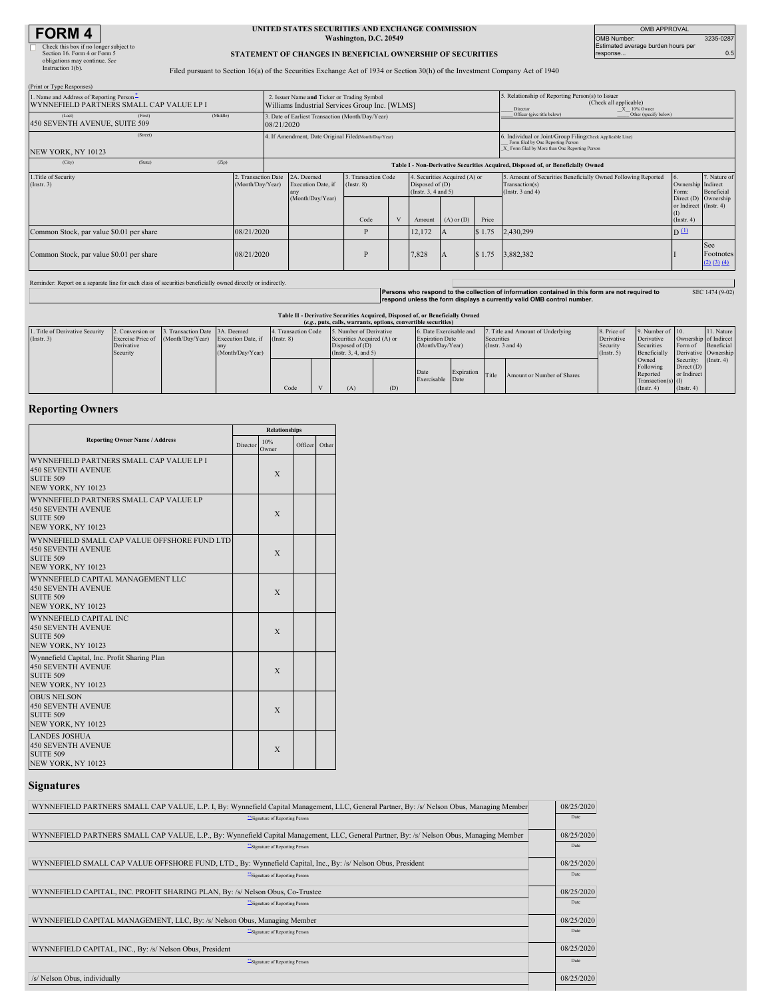| <b>FORM4</b> |  |  |
|--------------|--|--|
|              |  |  |

**FORM 4**<br>
Check this box if no longer subject to<br>
Section 16. Form 4 or Form 5<br>
obligations may continue. *See*<br>
Instruction 1(b).

# **UNITED STATES SECURITIES AND EXCHANGE COMMISSION Washington, D.C. 20549**

**STATEMENT OF CHANGES IN BENEFICIAL OWNERSHIP OF SECURITIES**

OMB APPROVAL OMB Number: 3235-0287 Estimated average burden hours per response... 0.5

Filed pursuant to Section 16(a) of the Securities Exchange Act of 1934 or Section 30(h) of the Investment Company Act of 1940

| (Print or Type Responses)                                                            |                                                                                                             |                  |                         |                                                                                               |                                        |              |                                                                               |                |                                                     |                                                                                                                                                    |                                                   |                                       |  |
|--------------------------------------------------------------------------------------|-------------------------------------------------------------------------------------------------------------|------------------|-------------------------|-----------------------------------------------------------------------------------------------|----------------------------------------|--------------|-------------------------------------------------------------------------------|----------------|-----------------------------------------------------|----------------------------------------------------------------------------------------------------------------------------------------------------|---------------------------------------------------|---------------------------------------|--|
| 1. Name and Address of Reporting Person-<br>WYNNEFIELD PARTNERS SMALL CAP VALUE LP I |                                                                                                             |                  |                         | 2. Issuer Name and Ticker or Trading Symbol<br>Williams Industrial Services Group Inc. [WLMS] |                                        |              |                                                                               |                |                                                     | Relationship of Reporting Person(s) to Issuer<br>(Check all applicable)<br>X 10% Owner<br>Director                                                 |                                                   |                                       |  |
| (Last)<br>450 SEVENTH AVENUE, SUITE 509                                              | (First)                                                                                                     | (Middle)         |                         | 3. Date of Earliest Transaction (Month/Day/Year)<br>08/21/2020                                |                                        |              |                                                                               |                | Officer (give title below)<br>Other (specify below) |                                                                                                                                                    |                                                   |                                       |  |
| NEW YORK, NY 10123                                                                   | (Street)                                                                                                    |                  |                         | 4. If Amendment, Date Original Filed(Month/Day/Year)                                          |                                        |              |                                                                               |                |                                                     | 5. Individual or Joint/Group Filing(Check Applicable Line)<br>Form filed by One Reporting Person<br>X Form filed by More than One Reporting Person |                                                   |                                       |  |
| (City)                                                                               | (State)                                                                                                     | (Zip)            |                         | Table I - Non-Derivative Securities Acquired, Disposed of, or Beneficially Owned              |                                        |              |                                                                               |                |                                                     |                                                                                                                                                    |                                                   |                                       |  |
| 1. Title of Security<br>(Insert. 3)                                                  |                                                                                                             | (Month/Day/Year) | <b>Transaction Date</b> | 2A. Deemed<br>Execution Date, if<br>any                                                       | 3. Transaction Code<br>$($ Instr. $8)$ |              | . Securities Acquired (A) or<br>Disposed of $(D)$<br>(Instr. $3, 4$ and $5$ ) |                |                                                     | 5. Amount of Securities Beneficially Owned Following Reported<br>Transaction(s)<br>(Instr. $3$ and $4$ )                                           | <b>6.</b><br>Ownership Indirect<br>Form:          | 7. Nature of<br>Beneficial            |  |
|                                                                                      |                                                                                                             |                  |                         | (Month/Day/Year)                                                                              | Code                                   | $\mathbf{V}$ | Amount                                                                        | $(A)$ or $(D)$ | Price                                               |                                                                                                                                                    | or Indirect (Instr. 4)<br>(1)<br>$($ Instr. 4 $)$ | Direct (D) Ownership                  |  |
| Common Stock, par value \$0.01 per share                                             |                                                                                                             | 08/21/2020       |                         |                                                                                               | P                                      |              | 12,172                                                                        |                | \$1.75                                              | 2,430,299                                                                                                                                          | $D^{(1)}$                                         |                                       |  |
| Common Stock, par value \$0.01 per share                                             |                                                                                                             | 08/21/2020       |                         |                                                                                               | P                                      |              | 7,828                                                                         | IA.            | \$1.75                                              | 3,882,382                                                                                                                                          |                                                   | See<br>Footnotes<br>$(2)$ $(3)$ $(4)$ |  |
|                                                                                      | Reminder: Report on a separate line for each class of securities beneficially owned directly or indirectly. |                  |                         |                                                                                               |                                        |              |                                                                               |                |                                                     |                                                                                                                                                    |                                                   |                                       |  |

Persons who respond to the collection of information contained in this form are not required to<br>respond unless the form displays a currently valid OMB control number. SEC 1474 (9-02)

|                                                |                                            |                                                                                      |                         |                                                                                                                                           |  | Table II - Derivative Securities Acquired, Disposed of, or Beneficially Owned<br>(e.g., puts, calls, warrants, options, convertible securities)   |     |                          |                                                           |                                                              |                                                          |                          |                                                                            |                                                                       |  |
|------------------------------------------------|--------------------------------------------|--------------------------------------------------------------------------------------|-------------------------|-------------------------------------------------------------------------------------------------------------------------------------------|--|---------------------------------------------------------------------------------------------------------------------------------------------------|-----|--------------------------|-----------------------------------------------------------|--------------------------------------------------------------|----------------------------------------------------------|--------------------------|----------------------------------------------------------------------------|-----------------------------------------------------------------------|--|
| 1. Title of Derivative Security<br>(Insert. 3) | 2. Conversion or<br>Derivative<br>Security | Transaction Date 3A, Deemed<br>Exercise Price of (Month/Day/Year) Execution Date, if | any<br>(Month/Day/Year) | 5. Number of Derivative<br>4. Transaction Code<br>Securities Acquired (A) or<br>(Insert, 8)<br>Disposed of $(D)$<br>(Insert. 3, 4, and 5) |  | 6. Date Exercisable and<br>7. Title and Amount of Underlying<br><b>Expiration Date</b><br>Securities<br>(Month/Dav/Year)<br>(Instr. $3$ and $4$ ) |     |                          | 8. Price of<br>Derivative<br>Security<br>$($ Instr. 5 $)$ | 9. Number of 10.<br>Derivative<br>Securities<br>Beneficially | Ownership of Indirect<br>Form of<br>Derivative Ownership | 11. Nature<br>Beneficial |                                                                            |                                                                       |  |
|                                                |                                            |                                                                                      |                         | Code                                                                                                                                      |  | (A)                                                                                                                                               | (D) | Date<br>Exercisable Date | Expiration                                                | Title                                                        | Amount or Number of Shares                               |                          | Owned<br>Following<br>Reported<br>Transaction(s) $(I)$<br>$($ Instr. 4 $)$ | Security: (Instr. 4)<br>Direct (D)<br>or Indirect<br>$($ Instr. 4 $)$ |  |

## **Reporting Owners**

|                                                                                                                     | <b>Relationships</b> |              |         |       |  |  |  |
|---------------------------------------------------------------------------------------------------------------------|----------------------|--------------|---------|-------|--|--|--|
| <b>Reporting Owner Name / Address</b>                                                                               |                      | 10%<br>Owner | Officer | Other |  |  |  |
| WYNNEFIELD PARTNERS SMALL CAP VALUE LP I<br><b>450 SEVENTH AVENUE</b><br><b>SUITE 509</b><br>NEW YORK, NY 10123     |                      | X            |         |       |  |  |  |
| WYNNEFIELD PARTNERS SMALL CAP VALUE LP<br><b>450 SEVENTH AVENUE</b><br><b>SUITE 509</b><br>NEW YORK, NY 10123       |                      | $\mathbf{x}$ |         |       |  |  |  |
| WYNNEFIELD SMALL CAP VALUE OFFSHORE FUND LTD<br><b>450 SEVENTH AVENUE</b><br><b>SUITE 509</b><br>NEW YORK, NY 10123 |                      | $\mathbf{x}$ |         |       |  |  |  |
| WYNNEFIELD CAPITAL MANAGEMENT LLC<br><b>450 SEVENTH AVENUE</b><br><b>SUITE 509</b><br>NEW YORK, NY 10123            |                      | $\mathbf{x}$ |         |       |  |  |  |
| WYNNEFIELD CAPITAL INC<br><b>450 SEVENTH AVENUE</b><br><b>SUITE 509</b><br>NEW YORK, NY 10123                       |                      | $\mathbf{x}$ |         |       |  |  |  |
| Wynnefield Capital, Inc. Profit Sharing Plan<br><b>450 SEVENTH AVENUE</b><br><b>SUITE 509</b><br>NEW YORK, NY 10123 |                      | X            |         |       |  |  |  |
| <b>OBUS NELSON</b><br><b>450 SEVENTH AVENUE</b><br><b>SUITE 509</b><br>NEW YORK, NY 10123                           |                      | X            |         |       |  |  |  |
| <b>LANDES JOSHUA</b><br><b>450 SEVENTH AVENUE</b><br><b>SUITE 509</b><br>NEW YORK, NY 10123                         |                      | $\mathbf{x}$ |         |       |  |  |  |

## **Signatures**

| WYNNEFIELD PARTNERS SMALL CAP VALUE, L.P. I, By: Wynnefield Capital Management, LLC, General Partner, By: /s/ Nelson Obus, Managing Member |  |            |  |  |  |
|--------------------------------------------------------------------------------------------------------------------------------------------|--|------------|--|--|--|
| Signature of Reporting Person                                                                                                              |  |            |  |  |  |
| WYNNEFIELD PARTNERS SMALL CAP VALUE, L.P., By: Wynnefield Capital Management, LLC, General Partner, By: /s/ Nelson Obus, Managing Member   |  |            |  |  |  |
| "Signature of Reporting Person                                                                                                             |  | Date       |  |  |  |
| WYNNEFIELD SMALL CAP VALUE OFFSHORE FUND, LTD., By: Wynnefield Capital, Inc., By: /s/ Nelson Obus, President                               |  | 08/25/2020 |  |  |  |
| -Signature of Reporting Person                                                                                                             |  |            |  |  |  |
| WYNNEFIELD CAPITAL, INC. PROFIT SHARING PLAN, By: /s/ Nelson Obus, Co-Trustee                                                              |  |            |  |  |  |
| Signature of Reporting Person                                                                                                              |  |            |  |  |  |
| WYNNEFIELD CAPITAL MANAGEMENT, LLC, By: /s/ Nelson Obus, Managing Member                                                                   |  |            |  |  |  |
| "Signature of Reporting Person                                                                                                             |  | Date       |  |  |  |
| WYNNEFIELD CAPITAL, INC., By: /s/ Nelson Obus, President                                                                                   |  |            |  |  |  |
| Signature of Reporting Person                                                                                                              |  | Date       |  |  |  |
| /s/ Nelson Obus, individually                                                                                                              |  | 08/25/2020 |  |  |  |